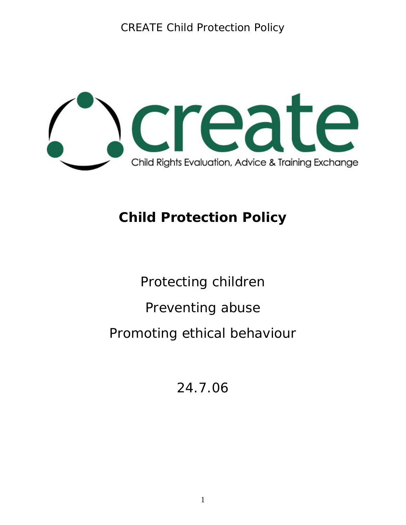

# **Child Protection Policy**

Protecting children Preventing abuse Promoting ethical behaviour

24.7.06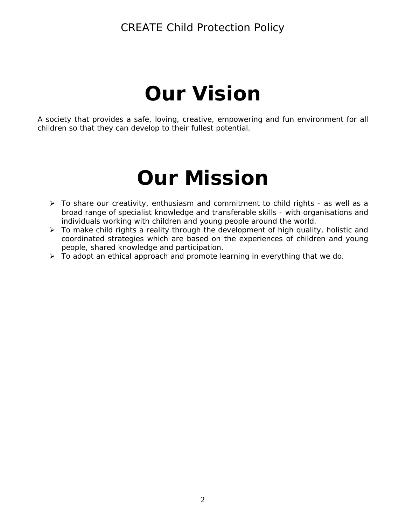# **Our Vision**

A society that provides a safe, loving, creative, empowering and fun environment for all children so that they can develop to their fullest potential.

# **Our Mission**

- ¾ To share our creativity, enthusiasm and commitment to child rights as well as a broad range of specialist knowledge and transferable skills - with organisations and individuals working with children and young people around the world.
- $\triangleright$  To make child rights a reality through the development of high quality, holistic and coordinated strategies which are based on the experiences of children and young people, shared knowledge and participation.
- $\triangleright$  To adopt an ethical approach and promote learning in everything that we do.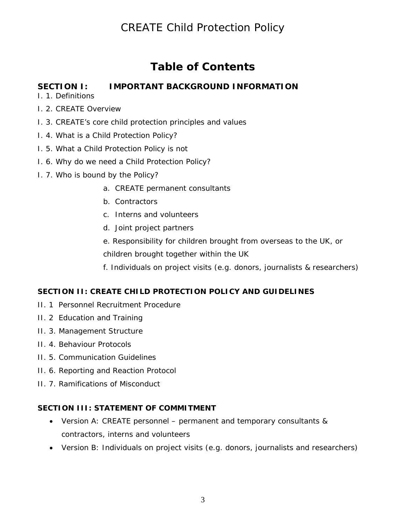# **Table of Contents**

#### **SECTION I: IMPORTANT BACKGROUND INFORMATION**

I. 1. Definitions

- I. 2. CREATE Overview
- I. 3. CREATE's core child protection principles and values
- I. 4. What is a Child Protection Policy?
- I. 5. What a Child Protection Policy is not
- I. 6. Why do we need a Child Protection Policy?
- I. 7. Who is bound by the Policy?
	- a. CREATE permanent consultants
	- b. Contractors
	- c. Interns and volunteers
	- d. Joint project partners
	- e. Responsibility for children brought from overseas to the UK, or children brought together within the UK
	- f. Individuals on project visits (e.g. donors, journalists & researchers)

#### **SECTION II: CREATE CHILD PROTECTION POLICY AND GUIDELINES**

- II. 1 Personnel Recruitment Procedure
- II. 2 Education and Training
- II. 3. Management Structure
- II. 4. Behaviour Protocols
- II. 5. Communication Guidelines
- II. 6. Reporting and Reaction Protocol
- II. 7. Ramifications of Misconduct

#### **SECTION III: STATEMENT OF COMMITMENT**

- Version A: CREATE personnel permanent and temporary consultants & contractors, interns and volunteers
- Version B: Individuals on project visits (e.g. donors, journalists and researchers)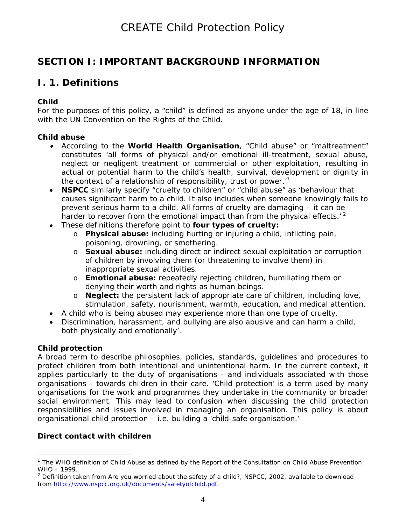## **SECTION I: IMPORTANT BACKGROUND INFORMATION**

## **I. 1. Definitions**

#### *Child*

For the purposes of this policy, a "child" is defined as anyone under the age of 18, in line with the UN Convention on the Rights of the Child.

#### *Child abuse*

- According to the **World Health Organisation**, "Child abuse" or "maltreatment" constitutes 'all forms of physical and/or emotional ill-treatment, sexual abuse, neglect or negligent treatment or commercial or other exploitation, resulting in actual or potential harm to the child's health, survival, development or dignity in the context of a relationship of responsibility, trust or power.'[1](#page-3-0)
- **NSPCC** similarly specify "cruelty to children" or "child abuse" as 'behaviour that causes significant harm to a child. It also includes when someone knowingly fails to prevent serious harm to a child. All forms of cruelty are damaging – it can be harder to recover from the emotional impact than from the physical effects.<sup> $2$ </sup>
- These definitions therefore point to **four types of cruelty:** 
	- o **Physical abuse:** including hurting or injuring a child, inflicting pain, poisoning, drowning, or smothering.
	- o **Sexual abuse:** including direct or indirect sexual exploitation or corruption of children by involving them (or threatening to involve them) in inappropriate sexual activities.
	- o **Emotional abuse:** repeatedly rejecting children, humiliating them or denying their worth and rights as human beings.
	- o **Neglect:** the persistent lack of appropriate care of children, including love, stimulation, safety, nourishment, warmth, education, and medical attention.
- A child who is being abused may experience more than one type of cruelty.
- Discrimination, harassment, and bullying are also abusive and can harm a child, both physically and emotionally'.

#### *Child protection*

A broad term to describe philosophies, policies, standards, guidelines and procedures to protect children from both intentional and unintentional harm. In the current context, it applies particularly to the duty of organisations - and individuals associated with those organisations - towards children in their care. 'Child protection' is a term used by many organisations for the work and programmes they undertake in the community or broader social environment. This may lead to confusion when discussing the child protection responsibilities and issues involved in managing an organisation. This policy is about *organisational* child protection – i.e. building a 'child-safe organisation.'

#### *Direct contact with children*

<span id="page-3-0"></span> $\overline{a}$ <sup>1</sup> The WHO definition of Child Abuse as defined by the Report of the Consultation on Child Abuse Prevention WHO – 1999.

<span id="page-3-1"></span><sup>2</sup> Definition taken from *Are you worried about the safety of a child?*, NSPCC, 2002, available to download from http://www.nspcc.org.uk/documents/safetyofchild.pdf.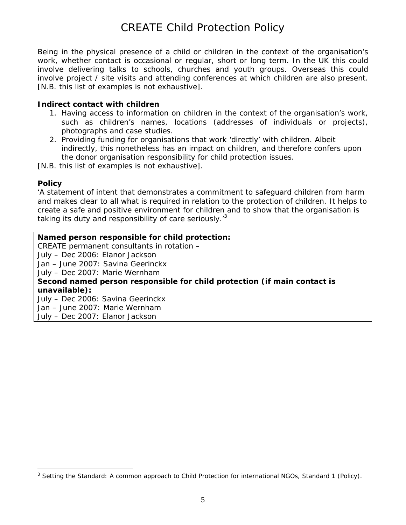Being in the physical presence of a child or children in the context of the organisation's work, whether contact is occasional or regular, short or long term. In the UK this could involve delivering talks to schools, churches and youth groups. Overseas this could involve project / site visits and attending conferences at which children are also present. [N.B. this list of examples is not exhaustive].

#### *Indirect contact with children*

- 1. Having access to information on children in the context of the organisation's work, such as children's names, locations (addresses of individuals or projects), photographs and case studies.
- 2. Providing funding for organisations that work 'directly' with children. Albeit indirectly, this nonetheless has an impact on children, and therefore confers upon the donor organisation responsibility for child protection issues.
- [N.B. this list of examples is not exhaustive].

#### *Policy*

'A statement of intent that demonstrates a commitment to safeguard children from harm and makes clear to all what is required in relation to the protection of children. It helps to create a safe and positive environment for children and to show that the organisation is taking its duty and responsibility of care seriously. $3$ 

#### **Named person responsible for child protection:**

CREATE permanent consultants in rotation – July – Dec 2006: Elanor Jackson Jan – June 2007: Savina Geerinckx July – Dec 2007: Marie Wernham **Second named person responsible for child protection (if main contact is unavailable):** July – Dec 2006: Savina Geerinckx Jan – June 2007: Marie Wernham July – Dec 2007: Elanor Jackson

<span id="page-4-0"></span> $\overline{a}$ <sup>3</sup> *Setting the Standard: A common approach to Child Protection for international NGOs*, Standard 1 (Policy).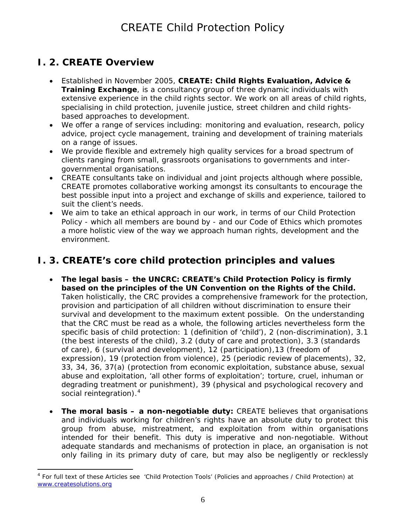## **I. 2. CREATE Overview**

- Established in November 2005, *CREATE: Child Rights Evaluation, Advice & Training Exchange*, is a consultancy group of three dynamic individuals with extensive experience in the child rights sector. We work on all areas of child rights, specialising in child protection, juvenile justice, street children and child rightsbased approaches to development.
- We offer a range of services including: monitoring and evaluation, research, policy advice, project cycle management, training and development of training materials on a range of issues.
- We provide flexible and extremely high quality services for a broad spectrum of clients ranging from small, grassroots organisations to governments and intergovernmental organisations.
- CREATE consultants take on individual and joint projects although where possible, CREATE promotes collaborative working amongst its consultants to encourage the best possible input into a project and exchange of skills and experience, tailored to suit the client's needs.
- We aim to take an ethical approach in our work, in terms of our Child Protection Policy - which all members are bound by - and our Code of Ethics which promotes a more holistic view of the way we approach human rights, development and the environment.

## **I. 3. CREATE's core child protection principles and values**

- **The legal basis the UNCRC: CREATE's Child Protection Policy is firmly based on the principles of the UN Convention on the Rights of the Child.** Taken holistically, the CRC provides a comprehensive framework for the protection, provision and participation of all children without discrimination to ensure their survival and development to the maximum extent possible. On the understanding that the CRC must be read as a whole, the following articles nevertheless form the specific basis of child protection: 1 (definition of 'child'), 2 (non-discrimination), 3.1 (the best interests of the child), 3.2 (duty of care and protection), 3.3 (standards of care), 6 (survival and development), 12 (participation),13 (freedom of expression), 19 (protection from violence), 25 (periodic review of placements), 32, 33, 34, 36, 37(a) (protection from economic exploitation, substance abuse, sexual abuse and exploitation, 'all other forms of exploitation'; torture, cruel, inhuman or degrading treatment or punishment), 39 (physical and psychological recovery and social reintegration).<sup>[4](#page-5-0)</sup>
- **The moral basis a non-negotiable duty:** CREATE believes that organisations and individuals working for children's rights have an absolute duty to protect this group from abuse, mistreatment, and exploitation from within organisations intended for their benefit. *This duty is imperative and non-negotiable. Without adequate standards and mechanisms of protection in place, an organisation is not only failing in its primary duty of care, but may also be negligently or recklessly*

<span id="page-5-0"></span> $\overline{a}$ <sup>4</sup> For full text of these Articles see 'Child Protection Tools' (Policies and approaches / Child Protection) at [www.createsolutions.org](http://www.createsolutions.org/)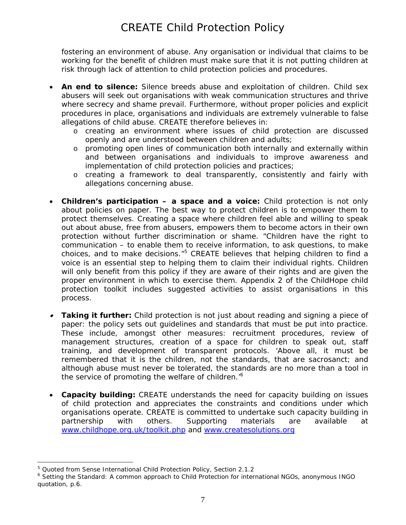*fostering an environment of abuse.* Any organisation or individual that claims to be working for the benefit of children *must* make sure that it is not putting children at risk through lack of attention to child protection policies and procedures.

- **An end to silence:** Silence breeds abuse and exploitation of children. Child sex abusers will seek out organisations with weak communication structures and thrive where secrecy and shame prevail. Furthermore, without proper policies and explicit procedures in place, organisations and individuals are extremely vulnerable to false allegations of child abuse. CREATE therefore believes in:
	- o creating an environment where issues of child protection are discussed openly and are understood between children and adults;
	- o promoting open lines of communication both internally and externally within and between organisations and individuals to improve awareness and implementation of child protection policies and practices;
	- o creating a framework to deal transparently, consistently and fairly with allegations concerning abuse.
- **Children's participation a space and a voice:** Child protection is not only about policies on paper. The best way to protect children is to empower them to protect themselves. Creating a space where children feel able and willing to speak out about abuse, free from abusers, empowers them to become actors in their own protection without further discrimination or shame. "Children have the right to communication – to enable them to receive information, to ask questions, to make choices, and to make decisions."<sup>5</sup> CREATE believes that helping children to find a voice is an essential step to helping them to claim their individual rights. *Children will only benefit from this policy if they are aware of their rights and are given the proper environment in which to exercise them*. Appendix 2 of the ChildHope child protection toolkit includes suggested activities to assist organisations in this process.
- • **Taking it further:** Child protection is not just about reading and signing a piece of paper: the policy sets out guidelines and standards that must be put into practice. These include, amongst other measures: recruitment procedures, review of management structures, creation of a space for children to speak out, staff training, and development of transparent protocols. '*Above all, it must be remembered that it is the children, not the standards, that are sacrosanct; and although abuse must never be tolerated, the standards are no more than a tool in the service of promoting the welfare of children.'[6](#page-6-1)*
- **Capacity building:** CREATE understands the need for capacity building on issues of child protection and appreciates the constraints and conditions under which organisations operate. CREATE is committed to undertake such capacity building in partnership with others. Supporting materials are available at [www.childhope.org.uk/toolkit.php](http://www.childhope.org.uk/toolkit.php) and [www.createsolutions.org](http://www.createsolutions.org/)

<span id="page-6-0"></span><sup>&</sup>lt;sup>5</sup> Quoted from Sense International Child Protection Policy, Section 2.1.2

<span id="page-6-1"></span><sup>&</sup>lt;sup>6</sup> Setting the Standard: A common approach to Child Protection for international NGOs, anonymous INGO quotation, p.6.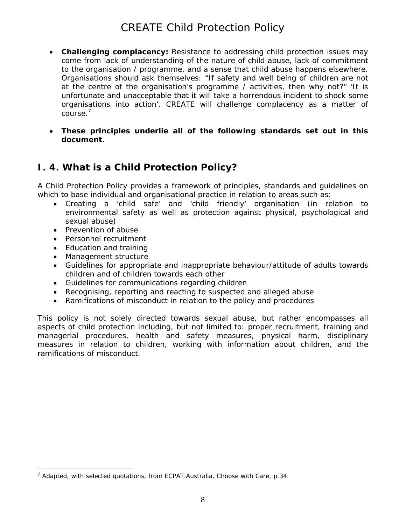- **Challenging complacency:** Resistance to addressing child protection issues may come from lack of understanding of the nature of child abuse, lack of commitment to the organisation / programme, and a sense that child abuse happens elsewhere. Organisations should ask themselves: "If safety and well being of children are not at the centre of the organisation's programme / activities, then why not?" 'It is unfortunate and unacceptable that it will take a horrendous incident to shock some organisations into action'. CREATE will challenge complacency as a matter of course.[7](#page-7-0)
- **These principles underlie all of the following standards set out in this document.**

## **I. 4. What is a Child Protection Policy?**

A Child Protection Policy provides a framework of principles, standards and guidelines on which to base individual and organisational practice in relation to areas such as:

- Creating a 'child safe' and 'child friendly' organisation (in relation to environmental safety as well as protection against physical, psychological and sexual abuse)
- Prevention of abuse
- Personnel recruitment
- Education and training
- Management structure
- Guidelines for appropriate and inappropriate behaviour/attitude of adults towards children and of children towards each other
- Guidelines for communications regarding children
- Recognising, reporting and reacting to suspected and alleged abuse
- Ramifications of misconduct in relation to the policy and procedures

This policy is not solely directed towards sexual abuse, but rather encompasses all aspects of child protection including, but not limited to: proper recruitment, training and managerial procedures, health and safety measures, physical harm, disciplinary measures in relation to children, working with information about children, and the ramifications of misconduct.

<span id="page-7-0"></span> $\overline{a}$ 7 Adapted, with selected quotations, from ECPAT Australia, *Choose with Care*, p.34.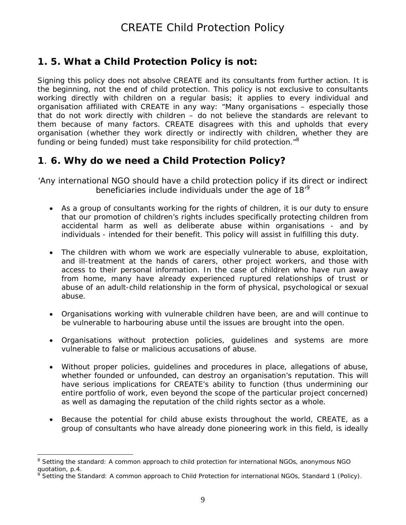## **1. 5. What a Child Protection Policy is not:**

Signing this policy does not absolve CREATE and its consultants from further action. It is the beginning, not the end of child protection. This policy is not exclusive to consultants working directly with children on a regular basis; it applies to every individual and organisation affiliated with CREATE in any way: *"Many organisations – especially those that do not work directly with children – do not believe the standards are relevant to them because of many factors.* CREATE disagrees with this and upholds that *every organisation (whether they work directly or indirectly with children, whether they are funding or being funded) must take responsibility for child protection."[8](#page-8-0)*

## **1**. **6. Why do we need a Child Protection Policy?**

*'Any international NGO should have a child protection policy if its direct or indirect beneficiaries include individuals under the age of 18'[9](#page-8-1)*

- As a group of consultants working for the rights of children, it is our duty to ensure that our promotion of children's rights includes specifically protecting children from accidental harm as well as deliberate abuse within organisations - and by individuals - intended for their benefit. This policy will assist in fulfilling this duty.
- The children with whom we work are especially vulnerable to abuse, exploitation, and ill-treatment at the hands of carers, other project workers, and those with access to their personal information. In the case of children who have run away from home, many have already experienced ruptured relationships of trust or abuse of an adult-child relationship in the form of physical, psychological or sexual abuse.
- Organisations working with vulnerable children have been, are and will continue to be vulnerable to harbouring abuse until the issues are brought into the open.
- Organisations without protection policies, guidelines and systems are more vulnerable to false or malicious accusations of abuse.
- Without proper policies, guidelines and procedures in place, allegations of abuse, whether founded or unfounded, can destroy an organisation's reputation. This will have serious implications for CREATE's ability to function (thus undermining our entire portfolio of work, even beyond the scope of the particular project concerned) as well as damaging the reputation of the child rights sector as a whole.
- Because the potential for child abuse exists throughout the world, CREATE, as a group of consultants who have already done pioneering work in this field, is ideally

<span id="page-8-0"></span><sup>8</sup> *Setting the standard: A common approach to child protection for international NGOs*, anonymous NGO quotation, p.4.

<span id="page-8-1"></span><sup>9</sup> *Setting the Standard: A common approach to Child Protection for international NGOs*, Standard 1 (Policy).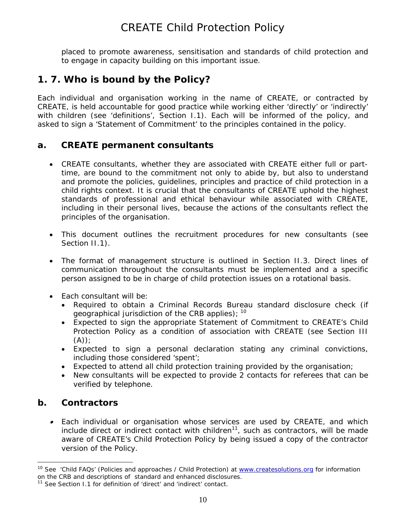placed to promote awareness, sensitisation and standards of child protection and to engage in capacity building on this important issue.

## **1. 7. Who is bound by the Policy?**

Each individual and organisation working in the name of CREATE, or contracted by CREATE, is held accountable for good practice while working either 'directly' or 'indirectly' with children (see 'definitions', Section I.1). Each will be informed of the policy, and asked to sign a 'Statement of Commitment' to the principles contained in the policy.

#### **a. CREATE permanent consultants**

- CREATE consultants, whether they are associated with CREATE either full or parttime, are bound to the commitment not only to abide by, but also to understand and promote the policies, guidelines, principles and practice of child protection in a child rights context. It is crucial that the consultants of CREATE uphold the highest standards of professional and ethical behaviour while associated with CREATE, including in their personal lives, because the actions of the consultants reflect the principles of the organisation.
- This document outlines the recruitment procedures for new consultants (see Section II.1).
- The format of management structure is outlined in Section II.3. Direct lines of communication throughout the consultants must be implemented and a specific person assigned to be in charge of child protection issues on a rotational basis.
- Each consultant will be:
	- Required to obtain a Criminal Records Bureau standard disclosure check (if geographical jurisdiction of the CRB applies);  $10$
	- Expected to sign the appropriate Statement of Commitment to CREATE's Child Protection Policy as a condition of association with CREATE (see Section III  $(A))$ :
	- Expected to sign a personal declaration stating any criminal convictions, including those considered 'spent';
	- Expected to attend all child protection training provided by the organisation;
	- New consultants will be expected to provide 2 contacts for referees that can be verified by telephone.

### **b. Contractors**

 $\overline{a}$ 

• Each individual or organisation whose services are used by CREATE, and which include direct or indirect contact with children<sup>11</sup>, such as contractors, will be made aware of CREATE's Child Protection Policy by being issued a copy of the contractor version of the Policy.

<span id="page-9-0"></span><sup>&</sup>lt;sup>10</sup> See 'Child FAQs' (Policies and approaches / Child Protection) at [www.createsolutions.org](http://www.createsolutions.org/) for information on the CRB and descriptions of standard and enhanced disclosures.

<span id="page-9-1"></span> $11$  See Section I.1 for definition of 'direct' and 'indirect' contact.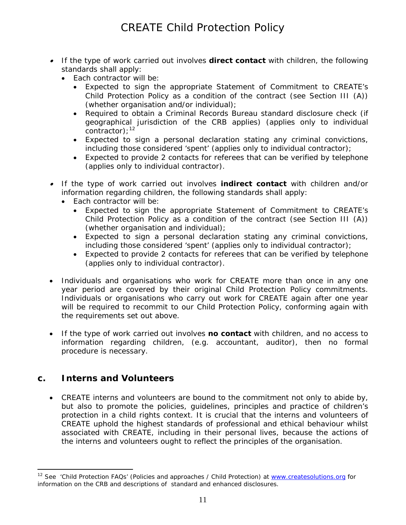- If the type of work carried out involves *direct* **contact** with children, the following standards shall apply:
	- Each contractor will be:
		- Expected to sign the appropriate Statement of Commitment to CREATE's Child Protection Policy as a condition of the contract (see Section III (A)) (whether organisation and/or individual);
		- Required to obtain a Criminal Records Bureau *standard* disclosure check (if geographical jurisdiction of the CRB applies) (applies only to individual contractor);  $12$
		- Expected to sign a personal declaration stating any criminal convictions, including those considered 'spent' (applies only to individual contractor);
		- Expected to provide 2 contacts for referees that can be verified by telephone (applies only to individual contractor).
- If the type of work carried out involves *indirect* **contact** with children and/or information regarding children, the following standards shall apply:
	- Each contractor will be:
		- Expected to sign the appropriate Statement of Commitment to CREATE's Child Protection Policy as a condition of the contract (see Section III (A)) (whether organisation and individual);
		- Expected to sign a personal declaration stating any criminal convictions, including those considered 'spent' (applies only to individual contractor);
		- Expected to provide 2 contacts for referees that can be verified by telephone (applies only to individual contractor).
- Individuals and organisations who work for CREATE more than once in any one year period are covered by their original Child Protection Policy commitments. Individuals or organisations who carry out work for CREATE again after one year will be required to recommit to our Child Protection Policy, conforming again with the requirements set out above.
- If the type of work carried out involves **no contact** with children, and no access to information regarding children, (e.g. accountant, auditor), then no formal procedure is necessary.

#### **c. Interns and Volunteers**

 $\overline{a}$ 

• CREATE interns and volunteers are bound to the commitment not only to abide by, but also to promote the policies, guidelines, principles and practice of children's protection in a child rights context. It is crucial that the interns and volunteers of CREATE uphold the highest standards of professional and ethical behaviour whilst associated with CREATE, including in their personal lives, because the actions of the interns and volunteers ought to reflect the principles of the organisation.

<span id="page-10-0"></span><sup>&</sup>lt;sup>12</sup> See 'Child Protection FAQs' (Policies and approaches / Child Protection) at [www.createsolutions.org](http://www.createsolutions.org/) for information on the CRB and descriptions of standard and enhanced disclosures.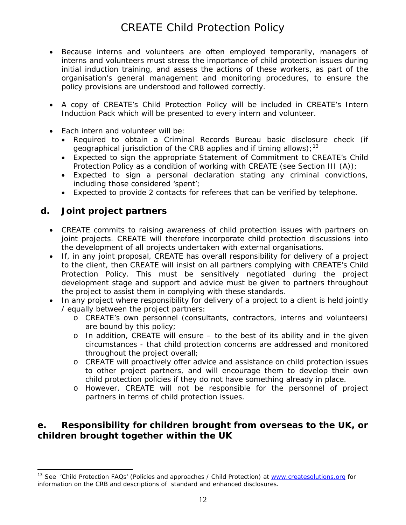- Because interns and volunteers are often employed temporarily, managers of interns and volunteers must stress the importance of child protection issues during initial induction training, and assess the actions of these workers, as part of the organisation's general management and monitoring procedures, to ensure the policy provisions are understood and followed correctly.
- A copy of CREATE's Child Protection Policy will be included in CREATE's Intern Induction Pack which will be presented to every intern and volunteer.
- Each intern and volunteer will be:
	- Required to obtain a Criminal Records Bureau basic disclosure check (if geographical jurisdiction of the CRB applies and if timing allows);  $^{13}$  $^{13}$  $^{13}$
	- Expected to sign the appropriate Statement of Commitment to CREATE's Child Protection Policy as a condition of working with CREATE (see Section III (A));
	- Expected to sign a personal declaration stating any criminal convictions, including those considered 'spent';
	- Expected to provide 2 contacts for referees that can be verified by telephone.

#### **d. Joint project partners**

 $\overline{a}$ 

- CREATE commits to raising awareness of child protection issues with partners on joint projects. CREATE will therefore incorporate child protection discussions into the development of all projects undertaken with external organisations.
- If, in any joint proposal, CREATE has overall responsibility for delivery of a project to the client, then CREATE will insist on all partners complying with CREATE's Child Protection Policy. This must be sensitively negotiated during the project development stage and support and advice must be given to partners throughout the project to assist them in complying with these standards.
- In any project where responsibility for delivery of a project to a client is held jointly / equally between the project partners:
	- o CREATE's own personnel (consultants, contractors, interns and volunteers) are bound by this policy;
	- o In addition, CREATE will ensure to the best of its ability and in the given circumstances - that child protection concerns are addressed and monitored throughout the project overall;
	- o CREATE will proactively offer advice and assistance on child protection issues to other project partners, and will encourage them to develop their own child protection policies if they do not have something already in place.
	- o However, CREATE will not be responsible for the personnel of project partners in terms of child protection issues.

#### **e. Responsibility for children brought from overseas to the UK, or children brought together within the UK**

<span id="page-11-0"></span><sup>&</sup>lt;sup>13</sup> See 'Child Protection FAQs' (Policies and approaches / Child Protection) at [www.createsolutions.org](http://www.createsolutions.org/) for information on the CRB and descriptions of standard and enhanced disclosures.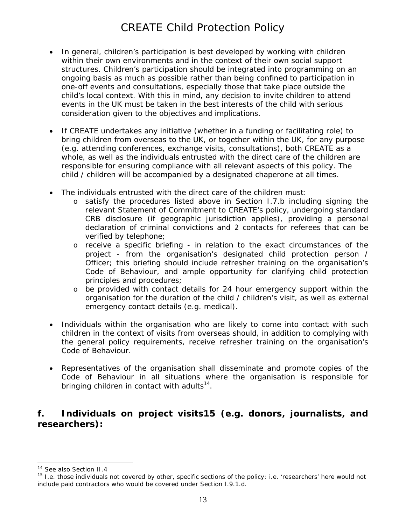- In general, children's participation is best developed by working with children within their own environments and in the context of their own social support structures. Children's participation should be integrated into programming on an ongoing basis as much as possible rather than being confined to participation in one-off events and consultations, especially those that take place outside the child's local context. With this in mind, any decision to invite children to attend events in the UK must be taken in the best interests of the child with serious consideration given to the objectives and implications.
- If CREATE undertakes any initiative (whether in a funding or facilitating role) to bring children from overseas to the UK, or together within the UK, for any purpose (e.g. attending conferences, exchange visits, consultations), both CREATE as a whole, as well as the individuals entrusted with the direct care of the children are responsible for ensuring compliance with all relevant aspects of this policy. The child / children will be accompanied by a designated chaperone at all times.
- The individuals entrusted with the direct care of the children must:
	- o satisfy the procedures listed above in Section I.7.b including signing the relevant Statement of Commitment to CREATE's policy, undergoing standard CRB disclosure (if geographic jurisdiction applies), providing a personal declaration of criminal convictions and 2 contacts for referees that can be verified by telephone;
	- o receive a specific briefing in relation to the exact circumstances of the project - from the organisation's designated child protection person / Officer; this briefing should include refresher training on the organisation's Code of Behaviour, and ample opportunity for clarifying child protection principles and procedures;
	- o be provided with contact details for 24 hour emergency support within the organisation for the duration of the child / children's visit, as well as external emergency contact details (e.g. medical).
- Individuals within the organisation who are likely to come into contact with such children in the context of visits from overseas should, in addition to complying with the general policy requirements, receive refresher training on the organisation's Code of Behaviour.
- Representatives of the organisation shall disseminate and promote copies of the Code of Behaviour in all situations where the organisation is responsible for bringing children in contact with adults<sup>14</sup>.

#### **f. Individuals on project visits[15](#page-12-1) (e.g. donors, journalists, and researchers):**

<span id="page-12-1"></span><span id="page-12-0"></span>

<sup>&</sup>lt;sup>14</sup> See also Section II.4<br><sup>15</sup> I.e. those individuals not covered by other, specific sections of the policy: i.e. 'researchers' here would not include paid contractors who would be covered under Section I.9.1.d.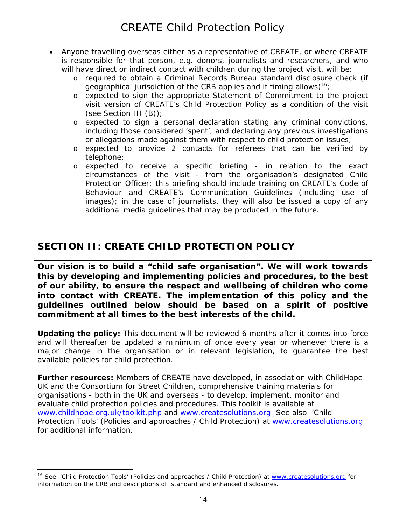- Anyone travelling overseas either as a representative of CREATE, or where CREATE is responsible for that person, e.g. donors, journalists and researchers, and who will have direct or indirect contact with children during the project visit, will be:
	- o required to obtain a Criminal Records Bureau standard disclosure check (if geographical jurisdiction of the CRB applies and if timing allows)<sup>16</sup>;
	- o expected to sign the appropriate Statement of Commitment to the project visit version of CREATE's Child Protection Policy as a condition of the visit (see Section III (B));
	- o expected to sign a personal declaration stating any criminal convictions, including those considered 'spent', and declaring any previous investigations or allegations made against them with respect to child protection issues;
	- o expected to provide 2 contacts for referees that can be verified by telephone;
	- o expected to receive a specific briefing in relation to the exact circumstances of the visit - from the organisation's designated Child Protection Officer; this briefing should include training on CREATE's Code of Behaviour and CREATE's Communication Guidelines (including use of images); in the case of journalists, they will also be issued a copy of any additional media guidelines that may be produced in the future.

## **SECTION II: CREATE CHILD PROTECTION POLICY**

**Our vision is to build a "child safe organisation". We will work towards this by developing and implementing policies and procedures, to the best of our ability, to ensure the respect and wellbeing of children who come into contact with CREATE. The implementation of this policy and the guidelines outlined below should be based on a spirit of positive commitment at all times to the best interests of the child.** 

**Updating the policy:** This document will be reviewed 6 months after it comes into force and will thereafter be updated a minimum of once every year or whenever there is a major change in the organisation or in relevant legislation, to guarantee the best available policies for child protection.

**Further resources:** Members of CREATE have developed, in association with ChildHope UK and the Consortium for Street Children, comprehensive training materials for organisations - both in the UK and overseas - to develop, implement, monitor and evaluate child protection policies and procedures. This toolkit is available at [www.childhope.org.uk/toolkit.php](http://www.childhope.org.uk/toolkit.php) and [www.createsolutions.org.](http://www.createsolutions.org/) See also 'Child Protection Tools' (Policies and approaches / Child Protection) at [www.createsolutions.org](http://www.createsolutions.org/) for additional information.

<span id="page-13-0"></span><sup>&</sup>lt;sup>16</sup> See 'Child Protection Tools' (Policies and approaches / Child Protection) at [www.createsolutions.org](http://www.createsolutions.org/) for information on the CRB and descriptions of standard and enhanced disclosures.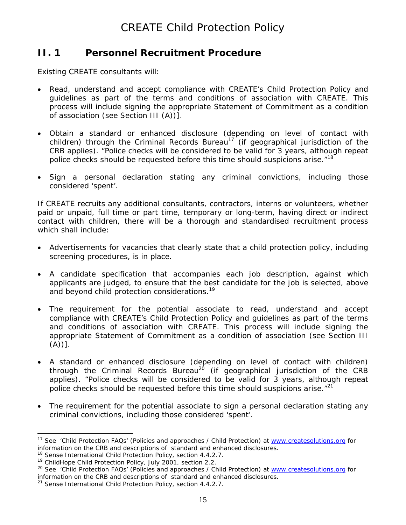### **II. 1 Personnel Recruitment Procedure**

Existing CREATE consultants will:

- Read, understand and accept compliance with CREATE's Child Protection Policy and guidelines as part of the terms and conditions of association with CREATE. This process will include signing the appropriate Statement of Commitment as a condition of association (see Section III (A))].
- Obtain a standard or enhanced disclosure (depending on level of contact with children) through the Criminal Records Bureau<sup>17</sup> (if geographical jurisdiction of the CRB applies). "Police checks will be considered to be valid for 3 years, although repeat police checks should be requested before this time should suspicions arise."<sup>[18](#page-14-1)</sup>
- Sign a personal declaration stating any criminal convictions, including those considered 'spent'.

If CREATE recruits any additional consultants, contractors, interns or volunteers, whether paid or unpaid, full time or part time, temporary or long-term, having direct or indirect contact with children, there will be a thorough and standardised recruitment process which shall include:

- Advertisements for vacancies that clearly state that a child protection policy, including screening procedures, is in place.
- A candidate specification that accompanies each job description, against which applicants are judged, to ensure that the best candidate for the job is selected, above and beyond child protection considerations.<sup>19</sup>
- The requirement for the potential associate to read, understand and accept compliance with CREATE's Child Protection Policy and guidelines as part of the terms and conditions of association with CREATE. This process will include signing the appropriate Statement of Commitment as a condition of association (see Section III  $(A))$ ].
- A standard or enhanced disclosure (depending on level of contact with children) through the Criminal Records Bureau<sup>20</sup> (if geographical jurisdiction of the CRB applies). "Police checks will be considered to be valid for 3 years, although repeat police checks should be requested before this time should suspicions arise.  $12^2$
- The requirement for the potential associate to sign a personal declaration stating any criminal convictions, including those considered 'spent'.

<span id="page-14-0"></span><sup>&</sup>lt;sup>17</sup> See 'Child Protection FAQs' (Policies and approaches / Child Protection) at [www.createsolutions.org](http://www.createsolutions.org/) for information on the CRB and descriptions of standard and enhanced disclosures.

<span id="page-14-3"></span><span id="page-14-2"></span>

<span id="page-14-1"></span><sup>&</sup>lt;sup>18</sup> Sense International Child Protection Policy, section 4.4.2.7.<br><sup>19</sup> ChildHope Child Protection Policy, July 2001, section 2.2.<br><sup>20</sup> See 'Child Protection FAQs' (Policies and approaches / Child Protection) at www.create information on the CRB and descriptions of standard and enhanced disclosures.

<span id="page-14-4"></span> $21$  Sense International Child Protection Policy, section 4.4.2.7.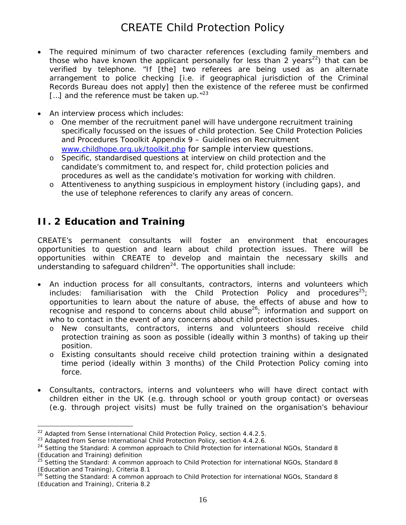- The required minimum of two character references (excluding family members and those who have known the applicant personally for less than 2 years<sup>22</sup>) that can be verified by telephone. "If [the] two referees are being used as an alternate arrangement to police checking [i.e. if geographical jurisdiction of the Criminal Records Bureau does not apply] then the existence of the referee must be confirmed [...] and the reference must be taken up. $"^{23}$  $"^{23}$  $"^{23}$
- An interview process which includes:
	- o One member of the recruitment panel will have undergone recruitment training specifically focussed on the issues of child protection. See Child Protection Policies and Procedures Tooolkit Appendix 9 – Guidelines on Recruitment [www.childhope.org.uk/toolkit.php](http://www.childhope.org.uk/toolkit.php) for sample interview questions.
	- o Specific, standardised questions at interview on child protection and the candidate's commitment to, and respect for, child protection policies and procedures as well as the candidate's motivation for working with children.
	- o Attentiveness to anything suspicious in employment history (including gaps), and the use of telephone references to clarify any areas of concern.

## **II. 2Education and Training**

 $\overline{a}$ 

CREATE's permanent consultants will foster an environment that encourages opportunities to question and learn about child protection issues. There will be opportunities within CREATE to develop and maintain the necessary skills and understanding to safeguard children<sup>24</sup>. The opportunities shall include:

- An induction process for all consultants, contractors, interns and volunteers which includes: familiarisation with the Child Protection Policy and procedures<sup>25</sup>; opportunities to learn about the nature of abuse, the effects of abuse and how to recognise and respond to concerns about child abuse<sup>26</sup>; information and support on who to contact in the event of any concerns about child protection issues.
	- o New consultants, contractors, interns and volunteers should receive child protection training as soon as possible (ideally within 3 months) of taking up their position.
	- o Existing consultants should receive child protection training within a designated time period (ideally within 3 months) of the Child Protection Policy coming into force.
- Consultants, contractors, interns and volunteers who will have direct contact with children either in the UK (e.g. through school or youth group contact) or overseas (e.g. through project visits) must be fully trained on the organisation's behaviour

<span id="page-15-0"></span>

<span id="page-15-2"></span><span id="page-15-1"></span>

<sup>&</sup>lt;sup>22</sup> Adapted from Sense International Child Protection Policy, section 4.4.2.5.<br><sup>23</sup> Adapted from Sense International Child Protection Policy, section 4.4.2.6.<br><sup>24</sup> Setting the Standard: A common approach to Child Protect

<span id="page-15-3"></span><sup>&</sup>lt;sup>5</sup> Setting the Standard: A common approach to Child Protection for international NGOs, Standard 8 (Education and Training), Criteria 8.1

<span id="page-15-4"></span><sup>26</sup> *Setting the Standard: A common approach to Child Protection for international NGOs*, Standard 8 (Education and Training), Criteria 8.2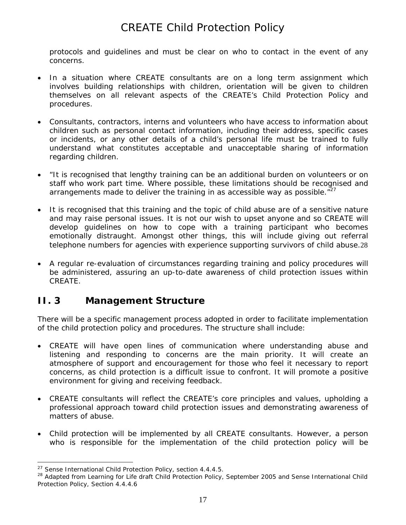protocols and guidelines and must be clear on who to contact in the event of any concerns.

- In a situation where CREATE consultants are on a long term assignment which involves building relationships with children, orientation will be given to children themselves on all relevant aspects of the CREATE's Child Protection Policy and procedures.
- Consultants, contractors, interns and volunteers who have access to information about children such as personal contact information, including their address, specific cases or incidents, or any other details of a child's personal life must be trained to fully understand what constitutes acceptable and unacceptable sharing of information regarding children.
- "It is recognised that lengthy training can be an additional burden on volunteers or on staff who work part time. Where possible, these limitations should be recognised and arrangements made to deliver the training in as accessible way as possible. $127$  $127$
- It is recognised that this training and the topic of child abuse are of a sensitive nature and may raise personal issues. It is not our wish to upset anyone and so CREATE will develop guidelines on how to cope with a training participant who becomes emotionally distraught. Amongst other things, this will include giving out referral telephone numbers for agencies with experience supporting survivors of child abuse.[28](#page-16-1)
- A regular re-evaluation of circumstances regarding training and policy procedures will be administered, assuring an up-to-date awareness of child protection issues within CREATE.

### **II. 3** Management Structure

There will be a specific management process adopted in order to facilitate implementation of the child protection policy and procedures. The structure shall include:

- CREATE will have open lines of communication where understanding abuse and listening and responding to concerns are the main priority. It will create an atmosphere of support and encouragement for those who feel it necessary to report concerns, as child protection is a difficult issue to confront. It will promote a positive environment for giving and receiving feedback.
- CREATE consultants will reflect the CREATE's core principles and values, upholding a professional approach toward child protection issues and demonstrating awareness of matters of abuse.
- Child protection will be implemented by all CREATE consultants. However, a person who is responsible for the implementation of the child protection policy will be

<span id="page-16-1"></span>

<span id="page-16-0"></span><sup>&</sup>lt;sup>27</sup> Sense International Child Protection Policy, section 4.4.4.5.<br><sup>28</sup> Adapted from Learning for Life draft Child Protection Policy, September 2005 and Sense International Child Protection Policy, Section 4.4.4.6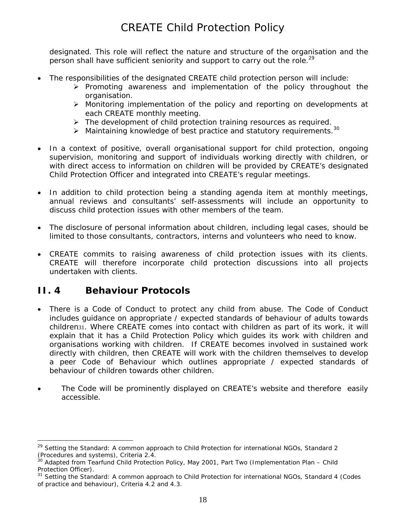designated. This role will reflect the nature and structure of the organisation and the person shall have sufficient seniority and support to carry out the role.<sup>[29](#page-17-0)</sup>

- The responsibilities of the designated CREATE child protection person will include:
	- $\triangleright$  Promoting awareness and implementation of the policy throughout the organisation.
	- ¾ Monitoring implementation of the policy and reporting on developments at each CREATE monthly meeting.
	- $\triangleright$  The development of child protection training resources as required.
	- $\blacktriangleright$  Maintaining knowledge of best practice and statutory requirements.<sup>30</sup>
- In a context of positive, overall organisational support for child protection, ongoing supervision, monitoring and support of individuals working directly with children, or with direct access to information on children will be provided by CREATE's designated Child Protection Officer and integrated into CREATE's regular meetings.
- In addition to child protection being a standing agenda item at monthly meetings, annual reviews and consultants' self-assessments will include an opportunity to discuss child protection issues with other members of the team.
- The disclosure of personal information about children, including legal cases, should be limited to those consultants, contractors, interns and volunteers who need to know.
- CREATE commits to raising awareness of child protection issues with its clients. CREATE will therefore incorporate child protection discussions into all projects undertaken with clients.

## **II. 4 Behaviour Protocols**

- There is a Code of Conduct to protect any child from abuse. The Code of Conduct includes guidance on appropriate / expected standards of behaviour of adults towards children[31](#page-17-2). Where CREATE comes into contact with children as part of its work, it will explain that it has a Child Protection Policy which guides its work with children and organisations working with children. If CREATE becomes involved in sustained work directly with children, then CREATE will work with the children themselves to develop a peer Code of Behaviour which outlines appropriate / expected standards of behaviour of children towards other children.
- The Code will be prominently displayed on CREATE's website and therefore easily accessible.

<span id="page-17-0"></span><sup>29</sup> *Setting the Standard: A common approach to Child Protection for international NGOs*, Standard 2 (Procedures and systems), Criteria 2.4.<br><sup>30</sup> Adapted from Tearfund Child Protection Policy, May 2001, Part Two (Implementation Plan – Child

<span id="page-17-1"></span>Protection Officer).<br><sup>31</sup> Setting the Standard: A common approach to Child Protection for international NGOs, Standard 4 (Codes

<span id="page-17-2"></span>of practice and behaviour), Criteria 4.2 and 4.3.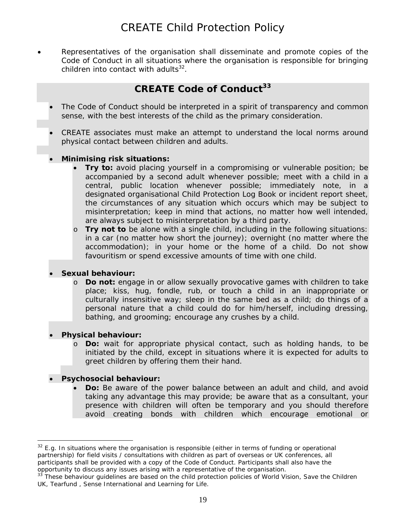• Representatives of the organisation shall disseminate and promote copies of the Code of Conduct in all situations where the organisation is responsible for bringing children into contact with adults $32$ .

## **CREATE Code of Conduct<sup>33</sup>**

- The Code of Conduct should be interpreted in a spirit of transparency and common sense, with the best interests of the child as the primary consideration.
- CREATE associates must make an attempt to understand the local norms around physical contact between children and adults.

#### • **Minimising risk situations:**

- **Try to:** avoid placing yourself in a compromising or vulnerable position; be accompanied by a second adult whenever possible; meet with a child in a central, public location whenever possible; immediately note, in a designated organisational Child Protection Log Book or incident report sheet, the circumstances of any situation which occurs which may be subject to misinterpretation; keep in mind that actions, no matter how well intended, are always subject to misinterpretation by a third party.
- o **Try not to** be alone with a single child, including in the following situations: in a car (no matter how short the journey); overnight (no matter where the accommodation); in your home or the home of a child. Do not show favouritism or spend excessive amounts of time with one child.

#### • **Sexual behaviour:**

o **Do not:** engage in or allow sexually provocative games with children to take place; kiss, hug, fondle, rub, or touch a child in an inappropriate or culturally insensitive way; sleep in the same bed as a child; do things of a personal nature that a child could do for him/herself, including dressing, bathing, and grooming; encourage any crushes by a child.

#### • **Physical behaviour:**

 $\overline{a}$ 

o **Do:** wait for appropriate physical contact, such as holding hands, to be initiated by the child, except in situations where it is expected for adults to greet children by offering them their hand.

#### • **Psychosocial behaviour:**

• **Do:** Be aware of the power balance between an adult and child, and avoid taking any advantage this may provide; be aware that as a consultant, your presence with children will often be temporary and you should therefore avoid creating bonds with children which encourage emotional or

<span id="page-18-0"></span> $32$  E.g. In situations where the organisation is responsible (either in terms of funding or operational partnership) for field visits / consultations with children as part of overseas or UK conferences, all participants shall be provided with a copy of the Code of Conduct. Participants shall also have the

<span id="page-18-1"></span>opportunity to discuss any issues arising with a representative of the organisation.<br><sup>33</sup> These behaviour guidelines are based on the child protection policies of World Vision, Save the Children UK, Tearfund , Sense International and Learning for Life.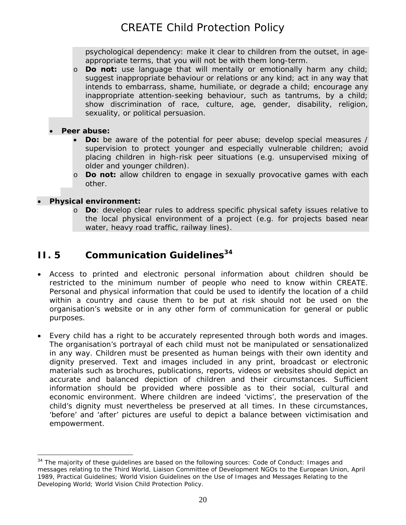psychological dependency: make it clear to children from the outset, in ageappropriate terms, that you will not be with them long-term.

o **Do not:** use language that will mentally or emotionally harm any child; suggest inappropriate behaviour or relations or any kind; act in any way that intends to embarrass, shame, humiliate, or degrade a child; encourage any inappropriate attention-seeking behaviour, such as tantrums, by a child; show discrimination of race, culture, age, gender, disability, religion, sexuality, or political persuasion.

#### • **Peer abuse:**

- **Do:** be aware of the potential for peer abuse; develop special measures / supervision to protect younger and especially vulnerable children; avoid placing children in high-risk peer situations (e.g. unsupervised mixing of older and younger children).
- o **Do not:** allow children to engage in sexually provocative games with each other.

#### • **Physical environment:**

 $\overline{a}$ 

o **Do**: develop clear rules to address specific physical safety issues relative to the local physical environment of a project (e.g. for projects based near water, heavy road traffic, railway lines).

## **II. 5 Communication Guidelines**<sup>34</sup>

- Access to printed and electronic personal information about children should be restricted to the minimum number of people who need to know within CREATE. Personal and physical information that could be used to identify the location of a child within a country and cause them to be put at risk should not be used on the organisation's website or in any other form of communication for general or public purposes.
- Every child has a right to be accurately represented through both words and images. The organisation's portrayal of each child must not be manipulated or sensationalized in any way. Children must be presented as human beings with their own identity and dignity preserved. Text and images included in any print, broadcast or electronic materials such as brochures, publications, reports, videos or websites should depict an accurate and balanced depiction of children and their circumstances. Sufficient information should be provided where possible as to their social, cultural and economic environment. Where children are indeed 'victims', the preservation of the child's dignity must nevertheless be preserved at all times. In these circumstances, 'before' and 'after' pictures are useful to depict a balance between victimisation and empowerment.

<span id="page-19-0"></span> $34$  The majority of these quidelines are based on the following sources: Code of Conduct: Images and messages relating to the Third World, Liaison Committee of Development NGOs to the European Union, April 1989, *Practical Guidelines*; World Vision Guidelines on the Use of Images and Messages Relating to the Developing World; World Vision Child Protection Policy.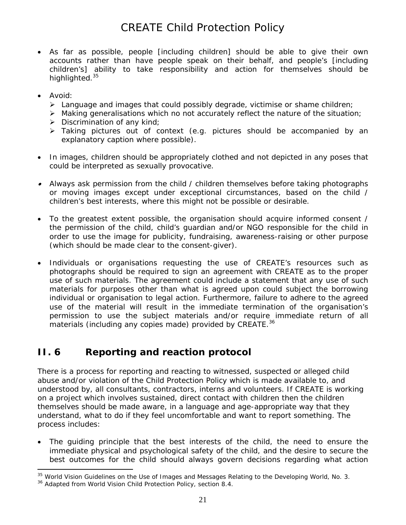- As far as possible, people [including children] should be able to give their own accounts rather than have people speak on their behalf, and people's [including children's] ability to take responsibility and action for themselves should be highlighted.<sup>[35](#page-20-0)</sup>
- Avoid:
	- $\triangleright$  Language and images that could possibly degrade, victimise or shame children;
	- $\triangleright$  Making generalisations which no not accurately reflect the nature of the situation;
	- $\triangleright$  Discrimination of any kind;
	- ¾ Taking pictures out of context (e.g. pictures should be accompanied by an explanatory caption where possible).
- In images, children should be appropriately clothed and not depicted in any poses that could be interpreted as sexually provocative.
- Always ask permission from the child / children themselves before taking photographs or moving images except under exceptional circumstances, based on the child / children's best interests, where this might not be possible or desirable.
- To the greatest extent possible, the organisation should acquire informed consent / the permission of the child, child's guardian and/or NGO responsible for the child in order to use the image for publicity, fundraising, awareness-raising or other purpose (which should be made clear to the consent-giver).
- Individuals or organisations requesting the use of CREATE's resources such as photographs should be required to sign an agreement with CREATE as to the proper use of such materials. The agreement could include a statement that any use of such materials for purposes other than what is agreed upon could subject the borrowing individual or organisation to legal action. Furthermore, failure to adhere to the agreed use of the material will result in the immediate termination of the organisation's permission to use the subject materials and/or require immediate return of all materials (including any copies made) provided by CREATE.<sup>[36](#page-20-1)</sup>

## **II. 6 Reporting and reaction protocol**

There is a process for reporting and reacting to witnessed, suspected or alleged child abuse and/or violation of the Child Protection Policy which is made available to, and understood by, all consultants, contractors, interns and volunteers. If CREATE is working on a project which involves sustained, direct contact with children then the children themselves should be made aware, in a language and age-appropriate way that they understand, what to do if they feel uncomfortable and want to report something. The process includes:

The quiding principle that the best interests of the child, the need to ensure the immediate physical and psychological safety of the child, and the desire to secure the best outcomes for the child should always govern decisions regarding what action

<span id="page-20-0"></span> $\overline{a}$ <sup>35</sup> World Vision Guidelines on the Use of Images and Messages Relating to the Developing World, No. 3.

<span id="page-20-1"></span><sup>&</sup>lt;sup>36</sup> Adapted from World Vision Child Protection Policy, section 8.4.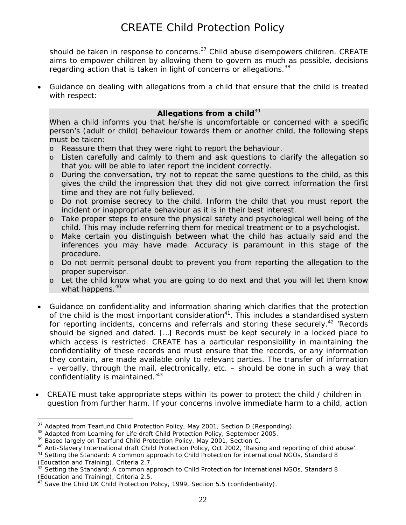should be taken in response to concerns.<sup>37</sup> Child abuse disempowers children. CREATE aims to empower children by allowing them to govern as much as possible, decisions regarding action that is taken in light of concerns or allegations.<sup>38</sup>

• Guidance on dealing with allegations from a child that ensure that the child is treated with respect:

#### Allegations from a child<sup>[39](#page-21-2)</sup>

When a child informs you that he/she is uncomfortable or concerned with a specific person's (adult or child) behaviour towards them or another child, the following steps must be taken:

- o Reassure them that they were right to report the behaviour.
- o Listen carefully and calmly to them and ask questions to clarify the allegation so that you will be able to later report the incident correctly.
- o During the conversation, try not to repeat the same questions to the child, as this gives the child the impression that they did not give correct information the first time and they are not fully believed.
- o Do not promise secrecy to the child. Inform the child that you must report the incident or inappropriate behaviour as it is in their best interest.
- o Take proper steps to ensure the physical safety and psychological well being of the child. This may include referring them for medical treatment or to a psychologist.
- o Make certain you distinguish between what the child has actually said and the inferences you may have made. Accuracy is paramount in this stage of the procedure.
- o Do not permit personal doubt to prevent you from reporting the allegation to the proper supervisor.
- o Let the child know what you are going to do next and that you will let them know what happens.<sup>[40](#page-21-3)</sup>
- Guidance on confidentiality and information sharing which clarifies that the protection of the child is the most important consideration<sup>41</sup>. This includes a standardised system for reporting incidents, concerns and referrals and storing these securely.<sup>42</sup> 'Records should be signed and dated. […] Records must be kept securely in a locked place to which access is restricted. CREATE has a particular responsibility in maintaining the confidentiality of these records and must ensure that the records, or any information they contain, are made available only to relevant parties. The transfer of information – verbally, through the mail, electronically, etc. – should be done in such a way that confidentiality is maintained.<sup>43</sup>
- CREATE must take appropriate steps within its power to protect the child / children in question from further harm. If your concerns involve immediate harm to a child, action

<span id="page-21-0"></span><sup>&</sup>lt;sup>37</sup> Adapted from Tearfund Child Protection Policy, May 2001, Section D (Responding).<br><sup>38</sup> Adapted from Learning for Life draft Child Protection Policy, September 2005.

<span id="page-21-1"></span>

<span id="page-21-2"></span><sup>&</sup>lt;sup>39</sup> Based largely on Tearfund Child Protection Policy, May 2001, Section C.

<span id="page-21-3"></span><sup>&</sup>lt;sup>40</sup> Anti-Slavery International draft Child Protection Policy, Oct 2002, 'Raising and reporting of child abuse'.<br><sup>41</sup> *Setting the Standard: A common approach to Child Protection for international NGOs, Standard 8* 

<span id="page-21-4"></span><sup>(</sup>Education and Training), Criteria 2.7.

<span id="page-21-5"></span><sup>42</sup> *Setting the Standard: A common approach to Child Protection for international NGOs*, Standard 8 (Education and Training), Criteria 2.5.

<span id="page-21-6"></span> $43$  Save the Child UK Child Protection Policy, 1999, Section 5.5 (confidentiality).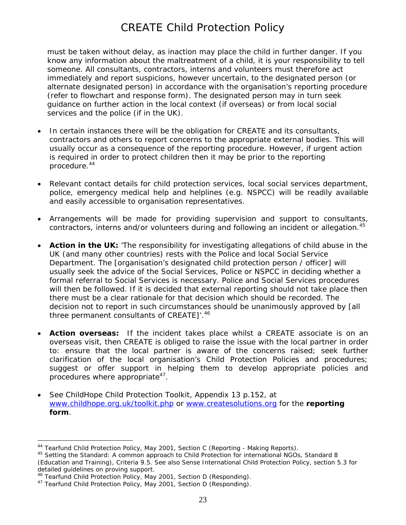must be taken without delay, as inaction may place the child in further danger. If you know any information about the maltreatment of a child, it is your responsibility to tell someone. All consultants, contractors, interns and volunteers must therefore act immediately and report suspicions, however uncertain, to the designated person (or alternate designated person) in accordance with the organisation's reporting procedure (refer to flowchart and response form). The designated person may in turn seek guidance on further action in the local context (if overseas) or from local social services and the police (if in the UK).

- In certain instances there will be the obligation for CREATE and its consultants, contractors and others to report concerns to the appropriate external bodies. This will usually occur as a consequence of the reporting procedure. However, if urgent action is required in order to protect children then it may be prior to the reporting procedure.[44](#page-22-0)
- Relevant contact details for child protection services, local social services department, police, emergency medical help and helplines (e.g. NSPCC) will be readily available and easily accessible to organisation representatives.
- Arrangements will be made for providing supervision and support to consultants, contractors, interns and/or volunteers during and following an incident or allegation.<sup>45</sup>
- **Action in the UK:** 'The responsibility for investigating allegations of child abuse in the UK (and many other countries) rests with the Police and local Social Service Department. The [organisation's designated child protection person / officer] will usually seek the advice of the Social Services, Police or NSPCC in deciding whether a formal referral to Social Services is necessary. Police and Social Services procedures will then be followed. If it is decided that external reporting should not take place then there must be a clear rationale for that decision which should be recorded. The decision not to report in such circumstances should be unanimously approved by [all three permanent consultants of CREATE]'.<sup>[46](#page-22-2)</sup>
- **Action overseas:** If the incident takes place whilst a CREATE associate is on an overseas visit, then CREATE is obliged to raise the issue with the local partner in order to: ensure that the local partner is aware of the concerns raised; seek further clarification of the local organisation's Child Protection Policies and procedures; suggest or offer support in helping them to develop appropriate policies and procedures where appropriate<sup>47</sup>.
- See ChildHope Child Protection Toolkit, Appendix 13 p.152, at [www.childhope.org.uk/toolkit.php](http://www.childhope.org.uk/toolkit.php) or [www.createsolutions.org](http://www.createsolutions.org/) for the **reporting form**.

<span id="page-22-0"></span><sup>44</sup> Tearfund Child Protection Policy, May 2001, Section C (Reporting - Making Reports).

<span id="page-22-1"></span><sup>45</sup> *Setting the Standard: A common approach to Child Protection for international NGOs*, Standard 8 (Education and Training), Criteria 9.5. See also Sense International Child Protection Policy, section 5.3 for detailed guidelines on proving support.<br><sup>46</sup> Tearfund Child Protection Policy, May 2001, Section D (Responding).

<span id="page-22-2"></span>

<span id="page-22-3"></span><sup>&</sup>lt;sup>47</sup> Tearfund Child Protection Policy, May 2001, Section D (Responding).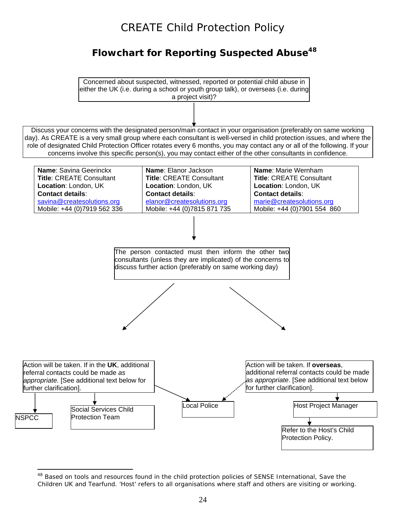## **Flowchart for Reporting Suspected Abuse[48](#page-23-0)**

 $\overline{a}$ Concerned about suspected, witnessed, reported or potential child abuse in either the UK (i.e. during a school or youth group talk), or overseas (i.e. during a project visit)?

Discuss your concerns with the designated person/main contact in your organisation (preferably on same working day). As CREATE is a very small group where each consultant is well-versed in child protection issues, and where the role of designated Child Protection Officer rotates every 6 months, you may contact any or all of the following. If your concerns involve this specific person(s), you may contact either of the other consultants in confidence.



<span id="page-23-0"></span> $\overline{a}$ <sup>48</sup> Based on tools and resources found in the child protection policies of SENSE International, Save the Children UK and Tearfund. 'Host' refers to all organisations where staff and others are visiting or working.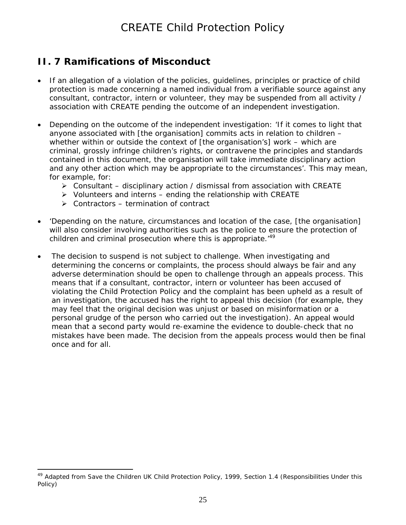## **II. 7 Ramifications of Misconduct**

- If an allegation of a violation of the policies, guidelines, principles or practice of child protection is made concerning a named individual from a verifiable source against any consultant, contractor, intern or volunteer, they may be suspended from all activity / association with CREATE pending the outcome of an independent investigation.
- Depending on the outcome of the independent investigation: 'If it comes to light that anyone associated with [the organisation] commits acts in relation to children – whether within or outside the context of [the organisation's] work – which are criminal, grossly infringe children's rights, or contravene the principles and standards contained in this document, *the organisation will take immediate disciplinary action and any other action which may be appropriate to the circumstances'*. This may mean, for example, for:
	- $\triangleright$  Consultant disciplinary action / dismissal from association with CREATE
	- $\triangleright$  Volunteers and interns ending the relationship with CREATE
	- $\triangleright$  Contractors termination of contract
- 'Depending on the nature, circumstances and location of the case, [the organisation] will also consider involving authorities such as the police to ensure the protection of children and criminal prosecution where this is appropriate.<sup>[49](#page-24-0)</sup>
- The decision to suspend is not subject to challenge. When investigating and determining the concerns or complaints, the process should always be fair and any adverse determination should be open to challenge through an appeals process. This means that if a consultant, contractor, intern or volunteer has been accused of violating the Child Protection Policy and the complaint has been upheld as a result of an investigation, the accused has the right to appeal this decision (for example, they may feel that the original decision was unjust or based on misinformation or a personal grudge of the person who carried out the investigation). An appeal would mean that a second party would re-examine the evidence to double-check that no mistakes have been made. The decision from the appeals process would then be final once and for all.

<span id="page-24-0"></span> $\overline{a}$ <sup>49</sup> Adapted from Save the Children UK Child Protection Policy, 1999, Section 1.4 (Responsibilities Under this Policy)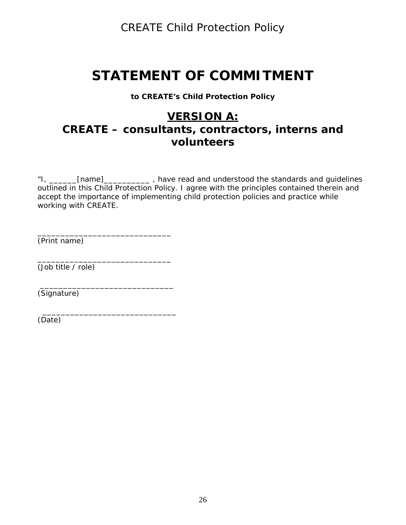# **STATEMENT OF COMMITMENT**

#### **to CREATE's Child Protection Policy**

## **VERSION A: CREATE – consultants, contractors, interns and volunteers**

"I, \_\_\_\_\_\_[name]\_\_\_\_\_\_\_\_\_\_ , have read and understood the standards and guidelines outlined in this Child Protection Policy. I agree with the principles contained therein and accept the importance of implementing child protection policies and practice while working with CREATE.

(*Print name)* 

\_\_\_\_\_\_\_\_\_\_\_\_\_\_\_\_\_\_\_\_\_\_\_\_\_\_\_\_\_ (*Job title / role)* 

\_\_\_\_\_\_\_\_\_\_\_\_\_\_\_\_\_\_\_\_\_\_\_\_\_\_\_\_\_

 $\overline{\phantom{a}}$  , and the set of the set of the set of the set of the set of the set of the set of the set of the set of the set of the set of the set of the set of the set of the set of the set of the set of the set of the s

\_\_\_\_\_\_\_\_\_\_\_\_\_\_\_\_\_\_\_\_\_\_\_\_\_\_\_\_\_

(*Signature)* 

*(Date)*